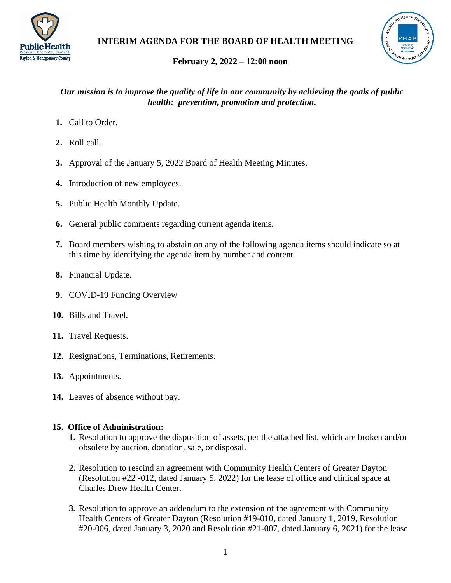



# **February 2, 2022 – 12:00 noon**

## *Our mission is to improve the quality of life in our community by achieving the goals of public health: prevention, promotion and protection.*

- **1.** Call to Order.
- **2.** Roll call.
- **3.** Approval of the January 5, 2022 Board of Health Meeting Minutes.
- **4.** Introduction of new employees.
- **5.** Public Health Monthly Update.
- **6.** General public comments regarding current agenda items.
- **7.** Board members wishing to abstain on any of the following agenda items should indicate so at this time by identifying the agenda item by number and content.
- **8.** Financial Update.
- **9.** COVID-19 Funding Overview
- **10.** Bills and Travel.
- **11.** Travel Requests.
- **12.** Resignations, Terminations, Retirements.
- **13.** Appointments.
- **14.** Leaves of absence without pay.

## **15. Office of Administration:**

- **1.** Resolution to approve the disposition of assets, per the attached list, which are broken and/or obsolete by auction, donation, sale, or disposal.
- **2.** Resolution to rescind an agreement with Community Health Centers of Greater Dayton (Resolution #22 -012, dated January 5, 2022) for the lease of office and clinical space at Charles Drew Health Center.
- **3.** Resolution to approve an addendum to the extension of the agreement with Community Health Centers of Greater Dayton (Resolution #19-010, dated January 1, 2019, Resolution #20-006, dated January 3, 2020 and Resolution #21-007, dated January 6, 2021) for the lease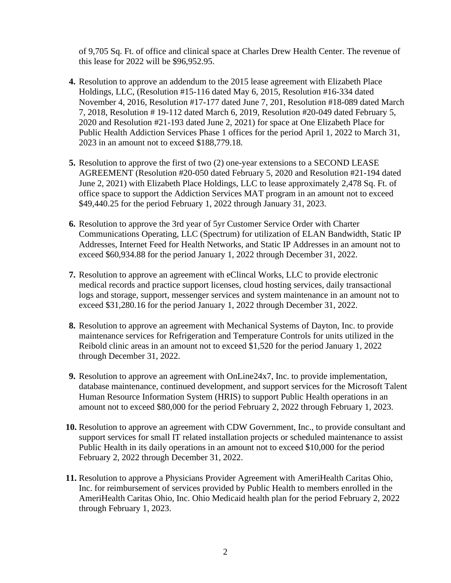of 9,705 Sq. Ft. of office and clinical space at Charles Drew Health Center. The revenue of this lease for 2022 will be \$96,952.95.

- **4.** Resolution to approve an addendum to the 2015 lease agreement with Elizabeth Place Holdings, LLC, (Resolution #15-116 dated May 6, 2015, Resolution #16-334 dated November 4, 2016, Resolution #17-177 dated June 7, 201, Resolution #18-089 dated March 7, 2018, Resolution # 19-112 dated March 6, 2019, Resolution #20-049 dated February 5, 2020 and Resolution #21-193 dated June 2, 2021) for space at One Elizabeth Place for Public Health Addiction Services Phase 1 offices for the period April 1, 2022 to March 31, 2023 in an amount not to exceed \$188,779.18.
- **5.** Resolution to approve the first of two (2) one-year extensions to a SECOND LEASE AGREEMENT (Resolution #20-050 dated February 5, 2020 and Resolution #21-194 dated June 2, 2021) with Elizabeth Place Holdings, LLC to lease approximately 2,478 Sq. Ft. of office space to support the Addiction Services MAT program in an amount not to exceed \$49,440.25 for the period February 1, 2022 through January 31, 2023.
- **6.** Resolution to approve the 3rd year of 5yr Customer Service Order with Charter Communications Operating, LLC (Spectrum) for utilization of ELAN Bandwidth, Static IP Addresses, Internet Feed for Health Networks, and Static IP Addresses in an amount not to exceed \$60,934.88 for the period January 1, 2022 through December 31, 2022.
- **7.** Resolution to approve an agreement with eClincal Works, LLC to provide electronic medical records and practice support licenses, cloud hosting services, daily transactional logs and storage, support, messenger services and system maintenance in an amount not to exceed \$31,280.16 for the period January 1, 2022 through December 31, 2022.
- **8.** Resolution to approve an agreement with Mechanical Systems of Dayton, Inc. to provide maintenance services for Refrigeration and Temperature Controls for units utilized in the Reibold clinic areas in an amount not to exceed \$1,520 for the period January 1, 2022 through December 31, 2022.
- **9.** Resolution to approve an agreement with OnLine24x7, Inc. to provide implementation, database maintenance, continued development, and support services for the Microsoft Talent Human Resource Information System (HRIS) to support Public Health operations in an amount not to exceed \$80,000 for the period February 2, 2022 through February 1, 2023.
- **10.** Resolution to approve an agreement with CDW Government, Inc., to provide consultant and support services for small IT related installation projects or scheduled maintenance to assist Public Health in its daily operations in an amount not to exceed \$10,000 for the period February 2, 2022 through December 31, 2022.
- **11.** Resolution to approve a Physicians Provider Agreement with AmeriHealth Caritas Ohio, Inc. for reimbursement of services provided by Public Health to members enrolled in the AmeriHealth Caritas Ohio, Inc. Ohio Medicaid health plan for the period February 2, 2022 through February 1, 2023.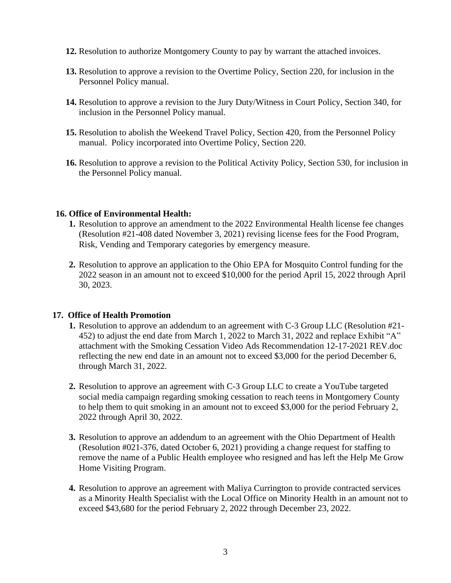- **12.** Resolution to authorize Montgomery County to pay by warrant the attached invoices.
- **13.** Resolution to approve a revision to the Overtime Policy, Section 220, for inclusion in the Personnel Policy manual.
- **14.** Resolution to approve a revision to the Jury Duty/Witness in Court Policy, Section 340, for inclusion in the Personnel Policy manual.
- **15.** Resolution to abolish the Weekend Travel Policy, Section 420, from the Personnel Policy manual. Policy incorporated into Overtime Policy, Section 220.
- **16.** Resolution to approve a revision to the Political Activity Policy, Section 530, for inclusion in the Personnel Policy manual.

### **16. Office of Environmental Health:**

- **1.** Resolution to approve an amendment to the 2022 Environmental Health license fee changes (Resolution #21-408 dated November 3, 2021) revising license fees for the Food Program, Risk, Vending and Temporary categories by emergency measure.
- **2.** Resolution to approve an application to the Ohio EPA for Mosquito Control funding for the 2022 season in an amount not to exceed \$10,000 for the period April 15, 2022 through April 30, 2023.

#### **17. Office of Health Promotion**

- **1.** Resolution to approve an addendum to an agreement with C-3 Group LLC (Resolution #21- 452) to adjust the end date from March 1, 2022 to March 31, 2022 and replace Exhibit "A" attachment with the Smoking Cessation Video Ads Recommendation 12-17-2021 REV.doc reflecting the new end date in an amount not to exceed \$3,000 for the period December 6, through March 31, 2022.
- **2.** Resolution to approve an agreement with C-3 Group LLC to create a YouTube targeted social media campaign regarding smoking cessation to reach teens in Montgomery County to help them to quit smoking in an amount not to exceed \$3,000 for the period February 2, 2022 through April 30, 2022.
- **3.** Resolution to approve an addendum to an agreement with the Ohio Department of Health (Resolution #021-376, dated October 6, 2021) providing a change request for staffing to remove the name of a Public Health employee who resigned and has left the Help Me Grow Home Visiting Program.
- **4.** Resolution to approve an agreement with Maliya Currington to provide contracted services as a Minority Health Specialist with the Local Office on Minority Health in an amount not to exceed \$43,680 for the period February 2, 2022 through December 23, 2022.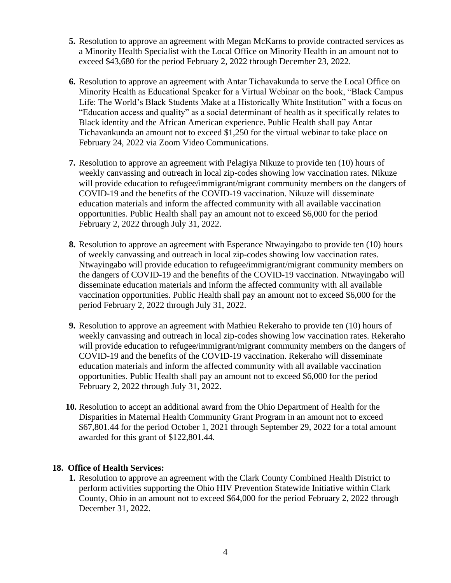- **5.** Resolution to approve an agreement with Megan McKarns to provide contracted services as a Minority Health Specialist with the Local Office on Minority Health in an amount not to exceed \$43,680 for the period February 2, 2022 through December 23, 2022.
- **6.** Resolution to approve an agreement with Antar Tichavakunda to serve the Local Office on Minority Health as Educational Speaker for a Virtual Webinar on the book, "Black Campus Life: The World's Black Students Make at a Historically White Institution" with a focus on "Education access and quality" as a social determinant of health as it specifically relates to Black identity and the African American experience. Public Health shall pay Antar Tichavankunda an amount not to exceed \$1,250 for the virtual webinar to take place on February 24, 2022 via Zoom Video Communications.
- **7.** Resolution to approve an agreement with Pelagiya Nikuze to provide ten (10) hours of weekly canvassing and outreach in local zip-codes showing low vaccination rates. Nikuze will provide education to refugee/immigrant/migrant community members on the dangers of COVID-19 and the benefits of the COVID-19 vaccination. Nikuze will disseminate education materials and inform the affected community with all available vaccination opportunities. Public Health shall pay an amount not to exceed \$6,000 for the period February 2, 2022 through July 31, 2022.
- **8.** Resolution to approve an agreement with Esperance Ntwayingabo to provide ten (10) hours of weekly canvassing and outreach in local zip-codes showing low vaccination rates. Ntwayingabo will provide education to refugee/immigrant/migrant community members on the dangers of COVID-19 and the benefits of the COVID-19 vaccination. Ntwayingabo will disseminate education materials and inform the affected community with all available vaccination opportunities. Public Health shall pay an amount not to exceed \$6,000 for the period February 2, 2022 through July 31, 2022.
- **9.** Resolution to approve an agreement with Mathieu Rekeraho to provide ten (10) hours of weekly canvassing and outreach in local zip-codes showing low vaccination rates. Rekeraho will provide education to refugee/immigrant/migrant community members on the dangers of COVID-19 and the benefits of the COVID-19 vaccination. Rekeraho will disseminate education materials and inform the affected community with all available vaccination opportunities. Public Health shall pay an amount not to exceed \$6,000 for the period February 2, 2022 through July 31, 2022.
- **10.** Resolution to accept an additional award from the Ohio Department of Health for the Disparities in Maternal Health Community Grant Program in an amount not to exceed \$67,801.44 for the period October 1, 2021 through September 29, 2022 for a total amount awarded for this grant of \$122,801.44.

## **18. Office of Health Services:**

**1.** Resolution to approve an agreement with the Clark County Combined Health District to perform activities supporting the Ohio HIV Prevention Statewide Initiative within Clark County, Ohio in an amount not to exceed \$64,000 for the period February 2, 2022 through December 31, 2022.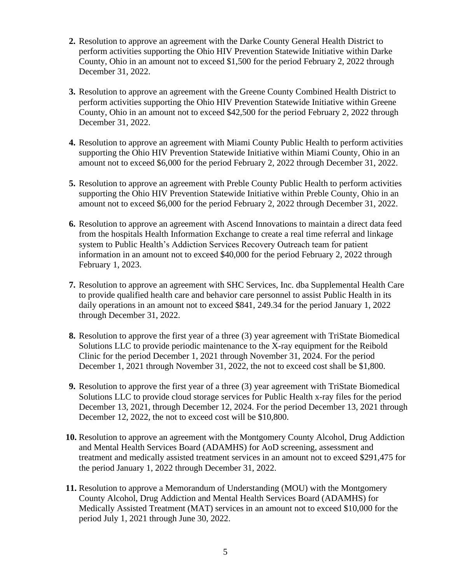- **2.** Resolution to approve an agreement with the Darke County General Health District to perform activities supporting the Ohio HIV Prevention Statewide Initiative within Darke County, Ohio in an amount not to exceed \$1,500 for the period February 2, 2022 through December 31, 2022.
- **3.** Resolution to approve an agreement with the Greene County Combined Health District to perform activities supporting the Ohio HIV Prevention Statewide Initiative within Greene County, Ohio in an amount not to exceed \$42,500 for the period February 2, 2022 through December 31, 2022.
- **4.** Resolution to approve an agreement with Miami County Public Health to perform activities supporting the Ohio HIV Prevention Statewide Initiative within Miami County, Ohio in an amount not to exceed \$6,000 for the period February 2, 2022 through December 31, 2022.
- **5.** Resolution to approve an agreement with Preble County Public Health to perform activities supporting the Ohio HIV Prevention Statewide Initiative within Preble County, Ohio in an amount not to exceed \$6,000 for the period February 2, 2022 through December 31, 2022.
- **6.** Resolution to approve an agreement with Ascend Innovations to maintain a direct data feed from the hospitals Health Information Exchange to create a real time referral and linkage system to Public Health's Addiction Services Recovery Outreach team for patient information in an amount not to exceed \$40,000 for the period February 2, 2022 through February 1, 2023.
- **7.** Resolution to approve an agreement with SHC Services, Inc. dba Supplemental Health Care to provide qualified health care and behavior care personnel to assist Public Health in its daily operations in an amount not to exceed \$841, 249.34 for the period January 1, 2022 through December 31, 2022.
- **8.** Resolution to approve the first year of a three (3) year agreement with TriState Biomedical Solutions LLC to provide periodic maintenance to the X-ray equipment for the Reibold Clinic for the period December 1, 2021 through November 31, 2024. For the period December 1, 2021 through November 31, 2022, the not to exceed cost shall be \$1,800.
- **9.** Resolution to approve the first year of a three (3) year agreement with TriState Biomedical Solutions LLC to provide cloud storage services for Public Health x-ray files for the period December 13, 2021, through December 12, 2024. For the period December 13, 2021 through December 12, 2022, the not to exceed cost will be \$10,800.
- **10.** Resolution to approve an agreement with the Montgomery County Alcohol, Drug Addiction and Mental Health Services Board (ADAMHS) for AoD screening, assessment and treatment and medically assisted treatment services in an amount not to exceed \$291,475 for the period January 1, 2022 through December 31, 2022.
- **11.** Resolution to approve a Memorandum of Understanding (MOU) with the Montgomery County Alcohol, Drug Addiction and Mental Health Services Board (ADAMHS) for Medically Assisted Treatment (MAT) services in an amount not to exceed \$10,000 for the period July 1, 2021 through June 30, 2022.